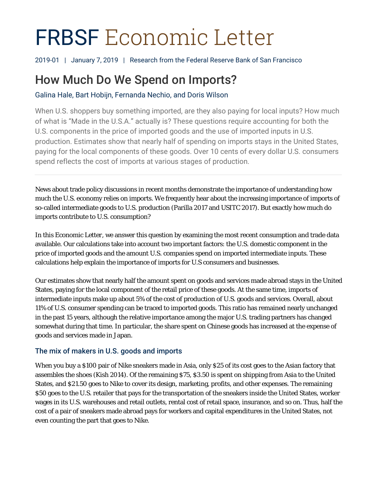# FRBSF Economic Letter

2019-01 | January 7, 2019 | Research from the Federal Reserve Bank of San Francisco

# How Much Do We Spend on Imports?

Galina Hale, Bart Hobijn, Fernanda Nechio, and Doris Wilson

When U.S. shoppers buy something imported, are they also paying for local inputs? How much of what is "Made in the U.S.A." actually is? These questions require accounting for both the U.S. components in the price of imported goods and the use of imported inputs in U.S. production. Estimates show that nearly half of spending on imports stays in the United States, paying for the local components of these goods. Over 10 cents of every dollar U.S. consumers spend reflects the cost of imports at various stages of production.

News about trade policy discussions in recent months demonstrate the importance of understanding how much the U.S. economy relies on imports. We frequently hear about the increasing importance of imports of so-called intermediate goods to U.S. production (Parilla 2017 and USITC 2017). But exactly how much do imports contribute to U.S. consumption?

In this *Economic Letter*, we answer this question by examining the most recent consumption and trade data available. Our calculations take into account two important factors: the U.S. domestic component in the price of imported goods and the amount U.S. companies spend on imported intermediate inputs. These calculations help explain the importance of imports for U.S consumers and businesses.

Our estimates show that nearly half the amount spent on goods and services made abroad stays in the United States, paying for the local component of the retail price of these goods. At the same time, imports of intermediate inputs make up about 5% of the cost of production of U.S. goods and services. Overall, about 11% of U.S. consumer spending can be traced to imported goods. This ratio has remained nearly unchanged in the past 15 years, although the relative importance among the major U.S. trading partners has changed somewhat during that time. In particular, the share spent on Chinese goods has increased at the expense of goods and services made in Japan.

### The mix of makers in U.S. goods and imports

When you buy a \$100 pair of Nike sneakers made in Asia, only \$25 of its cost goes to the Asian factory that assembles the shoes (Kish 2014). Of the remaining \$75, \$3.50 is spent on shipping from Asia to the United States, and \$21.50 goes to Nike to cover its design, marketing, profits, and other expenses. The remaining \$50 goes to the U.S. retailer that pays for the transportation of the sneakers inside the United States, worker wages in its U.S. warehouses and retail outlets, rental cost of retail space, insurance, and so on. Thus, half the cost of a pair of sneakers made abroad pays for workers and capital expenditures in the United States, not even counting the part that goes to Nike.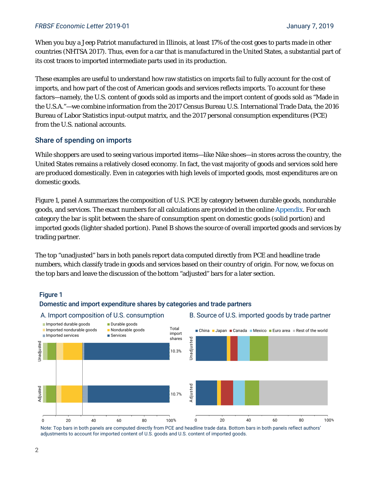#### *FRBSF Economic Letter* 2019-01 January 7, 2019

When you buy a Jeep Patriot manufactured in Illinois, at least 17% of the cost goes to parts made in other countries (NHTSA 2017). Thus, even for a car that is manufactured in the United States, a substantial part of its cost traces to imported intermediate parts used in its production.

These examples are useful to understand how raw statistics on imports fail to fully account for the cost of imports, and how part of the cost of American goods and services reflects imports. To account for these factors—namely, the U.S. content of goods sold as imports and the import content of goods sold as "Made in the U.S.A."—we combine information from the 2017 Census Bureau U.S. International Trade Data, the 2016 Bureau of Labor Statistics input-output matrix, and the 2017 personal consumption expenditures (PCE) from the U.S. national accounts.

#### Share of spending on imports

While shoppers are used to seeing various imported items—like Nike shoes—in stores across the country, the United States remains a relatively closed economy. In fact, the vast majority of goods and services sold here are produced domestically. Even in categories with high levels of imported goods, most expenditures are on domestic goods.

Figure 1, panel A summarizes the composition of U.S. PCE by category between durable goods, nondurable goods, and services. The exact numbers for all calculations are provided in the onlin[e Appendix.](https://www.frbsf.org/economic-research/publications/economic-letter/2019/january/how-much-do-we-spend-on-imports/el2019-01-appendix.pdf) For each category the bar is split between the share of consumption spent on domestic goods (solid portion) and imported goods (lighter shaded portion). Panel B shows the source of overall imported goods and services by trading partner.

The top "unadjusted" bars in both panels report data computed directly from PCE and headline trade numbers, which classify trade in goods and services based on their country of origin. For now, we focus on the top bars and leave the discussion of the bottom "adjusted" bars for a later section.

#### Figure 1

#### Domestic and import expenditure shares by categories and trade partners



Note: Top bars in both panels are computed directly from PCE and headline trade data. Bottom bars in both panels reflect authors' adjustments to account for imported content of U.S. goods and U.S. content of imported goods.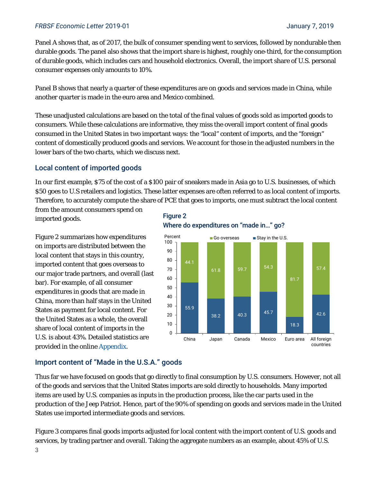#### *FRBSF Economic Letter* 2019-01 January 7, 2019

Panel A shows that, as of 2017, the bulk of consumer spending went to services, followed by nondurable then durable goods. The panel also shows that the import share is highest, roughly one-third, for the consumption of durable goods, which includes cars and household electronics. Overall, the import share of U.S. personal consumer expenses only amounts to 10%.

Panel B shows that nearly a quarter of these expenditures are on goods and services made in China, while another quarter is made in the euro area and Mexico combined.

These unadjusted calculations are based on the total of the final values of goods sold as imported goods to consumers. While these calculations are informative, they miss the overall import content of final goods consumed in the United States in two important ways: the "local" content of imports, and the "foreign" content of domestically produced goods and services. We account for those in the adjusted numbers in the lower bars of the two charts, which we discuss next.

#### Local content of imported goods

In our first example, \$75 of the cost of a \$100 pair of sneakers made in Asia go to U.S. businesses, of which \$50 goes to U.S retailers and logistics. These latter expenses are often referred to as local content of imports. Therefore, to accurately compute the share of PCE that goes to imports, one must subtract the local content

from the amount consumers spend on imported goods.

Figure 2 summarizes how expenditures on imports are distributed between the local content that stays in this country, imported content that goes overseas to our major trade partners, and overall (last bar). For example, of all consumer expenditures in goods that are made in China, more than half stays in the United States as payment for local content. For the United States as a whole, the overall share of local content of imports in the U.S. is about 43%. Detailed statistics are provided in the online [Appendix.](https://www.frbsf.org/economic-research/publications/economic-letter/2019/january/how-much-do-we-spend-on-imports/el2019-01-appendix.pdf)

#### Figure 2 Where do expenditures on "made in…" go?



#### Import content of "Made in the U.S.A." goods

Thus far we have focused on goods that go directly to final consumption by U.S. consumers. However, not all of the goods and services that the United States imports are sold directly to households. Many imported items are used by U.S. companies as inputs in the production process, like the car parts used in the production of the Jeep Patriot. Hence, part of the 90% of spending on goods and services made in the United States use imported intermediate goods and services.

Figure 3 compares final goods imports adjusted for local content with the import content of U.S. goods and services, by trading partner and overall. Taking the aggregate numbers as an example, about 45% of U.S.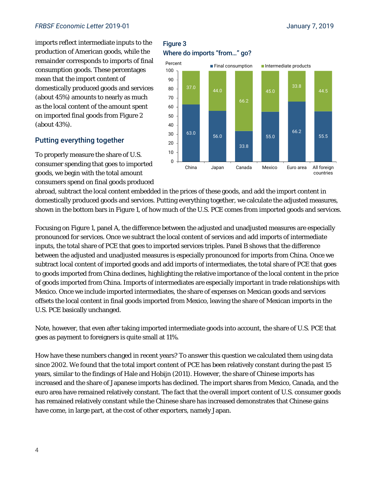#### *FRBSF Economic Letter* 2019-01 January 7, 2019

imports reflect intermediate inputs to the production of American goods, while the remainder corresponds to imports of final consumption goods. These percentages mean that the import content of domestically produced goods and services (about 45%) amounts to nearly as much as the local content of the amount spent on imported final goods from Figure 2 (about 43%).

#### Putting everything together

To properly measure the share of U.S. consumer spending that goes to imported goods, we begin with the total amount consumers spend on final goods produced

#### Figure 3 Where do imports "from…" go?



abroad, subtract the local content embedded in the prices of these goods, and add the import content in domestically produced goods and services. Putting everything together, we calculate the adjusted measures, shown in the bottom bars in Figure 1, of how much of the U.S. PCE comes from imported goods and services.

Focusing on Figure 1, panel A, the difference between the adjusted and unadjusted measures are especially pronounced for services. Once we subtract the local content of services and add imports of intermediate inputs, the total share of PCE that goes to imported services triples. Panel B shows that the difference between the adjusted and unadjusted measures is especially pronounced for imports from China. Once we subtract local content of imported goods and add imports of intermediates, the total share of PCE that goes to goods imported from China declines, highlighting the relative importance of the local content in the price of goods imported from China. Imports of intermediates are especially important in trade relationships with Mexico. Once we include imported intermediates, the share of expenses on Mexican goods and services offsets the local content in final goods imported from Mexico, leaving the share of Mexican imports in the U.S. PCE basically unchanged.

Note, however, that even after taking imported intermediate goods into account, the share of U.S. PCE that goes as payment to foreigners is quite small at 11%.

How have these numbers changed in recent years? To answer this question we calculated them using data since 2002. We found that the total import content of PCE has been relatively constant during the past 15 years, similar to the findings of Hale and Hobijn (2011). However, the share of Chinese imports has increased and the share of Japanese imports has declined. The import shares from Mexico, Canada, and the euro area have remained relatively constant. The fact that the overall import content of U.S. consumer goods has remained relatively constant while the Chinese share has increased demonstrates that Chinese gains have come, in large part, at the cost of other exporters, namely Japan.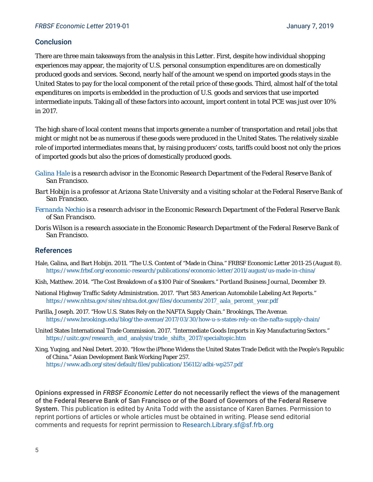#### **Conclusion**

There are three main takeaways from the analysis in this *Letter*. First, despite how individual shopping experiences may appear, the majority of U.S. personal consumption expenditures are on domestically produced goods and services. Second, nearly half of the amount we spend on imported goods stays in the United States to pay for the local component of the retail price of these goods. Third, almost half of the total expenditures on imports is embedded in the production of U.S. goods and services that use imported intermediate inputs. Taking all of these factors into account, import content in total PCE was just over 10% in 2017.

The high share of local content means that imports generate a number of transportation and retail jobs that might or might not be as numerous if these goods were produced in the United States. The relatively sizable role of imported intermediates means that, by raising producers' costs, tariffs could boost not only the prices of imported goods but also the prices of domestically produced goods.

- *[Galina Hale i](https://www.frbsf.org/economic-research/economists/galina-hale/)s a research advisor in the Economic Research Department of the Federal Reserve Bank of San Francisco.*
- *Bart Hobijn is a professor at Arizona State University and a visiting scholar at the Federal Reserve Bank of San Francisco.*
- *[Fernanda Nechio](https://www.frbsf.org/economic-research/economists/fernanda-nechio/) is a research advisor in the Economic Research Department of the Federal Reserve Bank of San Francisco.*
- *Doris Wilson is a research associate in the Economic Research Department of the Federal Reserve Bank of San Francisco.*

#### References

- Hale, Galina, and Bart Hobijn. 2011. "The U.S. Content of "Made in China." *FRBSF Economic Letter* 2011-25 (August 8). https://www.frbsf.org/economic-research/publications/economic-letter/2011/august/us-made-in-china/
- Kish, Matthew. 2014. "The Cost Breakdown of a \$100 Pair of Sneakers." *Portland Business Journal*, December 19.
- National Highway Traffic Safety Administration. 2017. "Part 583 American Automobile Labeling Act Reports." https://www.nhtsa.gov/sites/nhtsa.dot.gov/files/documents/2017\_aala\_percent\_year.pdf
- Parilla, Joseph. 2017. "How U.S. States Rely on the NAFTA Supply Chain." *Brookings*, *The Avenue*. https://www.brookings.edu/blog/the-avenue/2017/03/30/how-u-s-states-rely-on-the-nafta-supply-chain/
- United States International Trade Commission. 2017. "Intermediate Goods Imports in Key Manufacturing Sectors." https://usitc.gov/research\_and\_analysis/trade\_shifts\_2017/specialtopic.htm
- Xing, Yuqing, and Neal Detert. 2010. "How the iPhone Widens the United States Trade Deficit with the People's Republic of China." Asian Development Bank Working Paper 257. https://www.adb.org/sites/default/files/publication/156112/adbi-wp257.pdf

Opinions expressed in *FRBSF Economic Letter* do not necessarily reflect the views of the management of the Federal Reserve Bank of San Francisco or of the Board of Governors of the Federal Reserve System. This publication is edited by Anita Todd with the assistance of Karen Barnes. Permission to reprint portions of articles or whole articles must be obtained in writing. Please send editorial comments and requests for reprint permission to Research.Library.sf@sf.frb.org